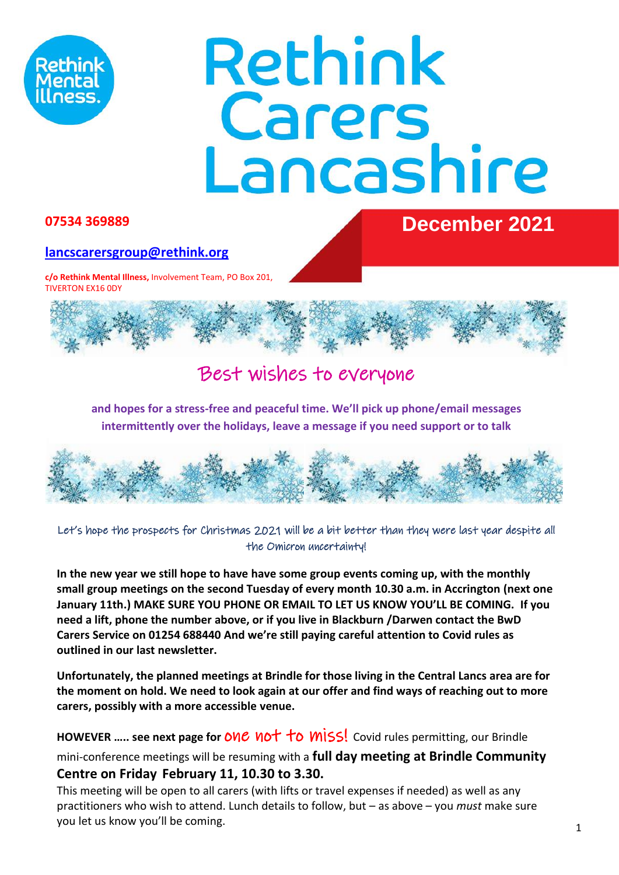

# Rethink Carers<br>Lancashire

# **07534 369889 December 2021**

# **[lancscarersgroup@rethink.org](about:blank)**

**c/o Rethink Mental Illness,** Involvement Team, PO Box 201, TIVERTON EX16 0DY



# Best wishes to everyone

**and hopes for a stress-free and peaceful time. We'll pick up phone/email messages intermittently over the holidays, leave a message if you need support or to talk**



Let's hope the prospects for Christmas 2021 will be a bit better than they were last year despite all the Omicron uncertainty!

**In the new year we still hope to have have some group events coming up, with the monthly small group meetings on the second Tuesday of every month 10.30 a.m. in Accrington (next one January 11th.) MAKE SURE YOU PHONE OR EMAIL TO LET US KNOW YOU'LL BE COMING. If you need a lift, phone the number above, or if you live in Blackburn /Darwen contact the BwD Carers Service on 01254 688440 And we're still paying careful attention to Covid rules as outlined in our last newsletter.**

**Unfortunately, the planned meetings at Brindle for those living in the Central Lancs area are for the moment on hold. We need to look again at our offer and find ways of reaching out to more carers, possibly with a more accessible venue.**

**HOWEVER ..... see next page for ONC NOT TO MISS!** Covid rules permitting, our Brindle

mini-conference meetings will be resuming with a **full day meeting at Brindle Community Centre on Friday February 11, 10.30 to 3.30.** 

This meeting will be open to all carers (with lifts or travel expenses if needed) as well as any practitioners who wish to attend. Lunch details to follow, but – as above – you *must* make sure you let us know you'll be coming.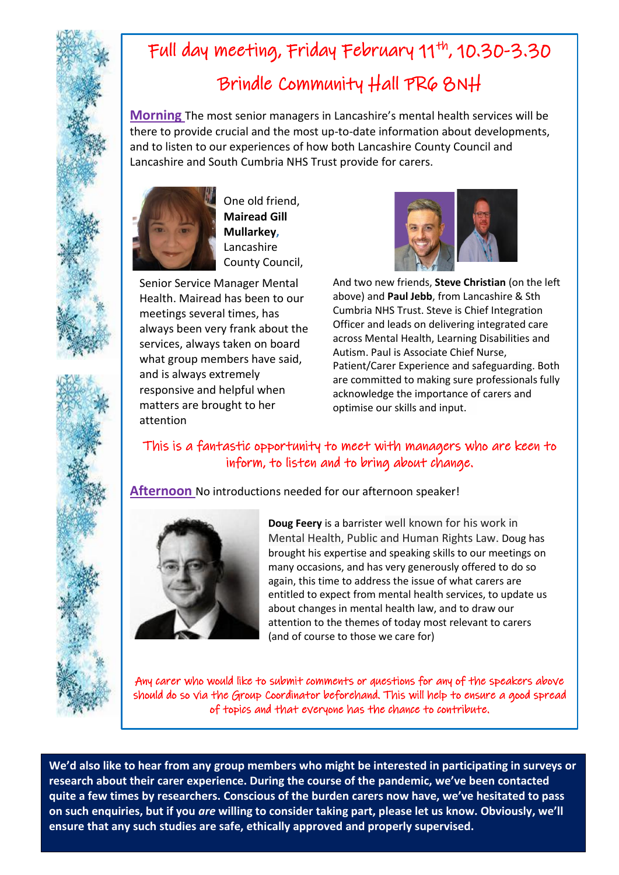# Full day meeting, Friday February 11<sup>th</sup>, 10.30-3.30 Brindle Community Hall PR6 8NH

**Morning** The most senior managers in Lancashire's mental health services will be there to provide crucial and the most up-to-date information about developments, and to listen to our experiences of how both Lancashire County Council and Lancashire and South Cumbria NHS Trust provide for carers.



One old friend, **Mairead Gill Mullarkey,**  Lancashire County Council,

Senior Service Manager Mental Health. Mairead has been to our meetings several times, has always been very frank about the services, always taken on board what group members have said, and is always extremely responsive and helpful when matters are brought to her attention



And two new friends, **Steve Christian** (on the left above) and **Paul Jebb**, from Lancashire & Sth Cumbria NHS Trust. Steve is Chief Integration Officer and leads on delivering integrated care across Mental Health, Learning Disabilities and Autism. Paul is Associate Chief Nurse, Patient/Carer Experience and safeguarding. Both are committed to making sure professionals fully acknowledge the importance of carers and optimise our skills and input.

# This is a fantastic opportunity to meet with managers who are keen to inform, to listen and to bring about change.

**Afternoon** No introductions needed for our afternoon speaker!



**Doug Feery** is a barrister well known for his work in Mental Health, Public and Human Rights Law. Doug has brought his expertise and speaking skills to our meetings on many occasions, and has very generously offered to do so again, this time to address the issue of what carers are entitled to expect from mental health services, to update us about changes in mental health law, and to draw our attention to the themes of today most relevant to carers (and of course to those we care for)

Any carer who would like to submit comments or questions for any of the speakers above should do so via the Group Coordinator beforehand. This will help to ensure a good spread of topics and that everyone has the chance to contribute.

**We'd also like to hear from any group members who might be interested in participating in surveys or research about their carer experience. During the course of the pandemic, we've been contacted quite a few times by researchers. Conscious of the burden carers now have, we've hesitated to pass on such enquiries, but if you** *are* **willing to consider taking part, please let us know. Obviously, we'll ensure that any such studies are safe, ethically approved and properly supervised.**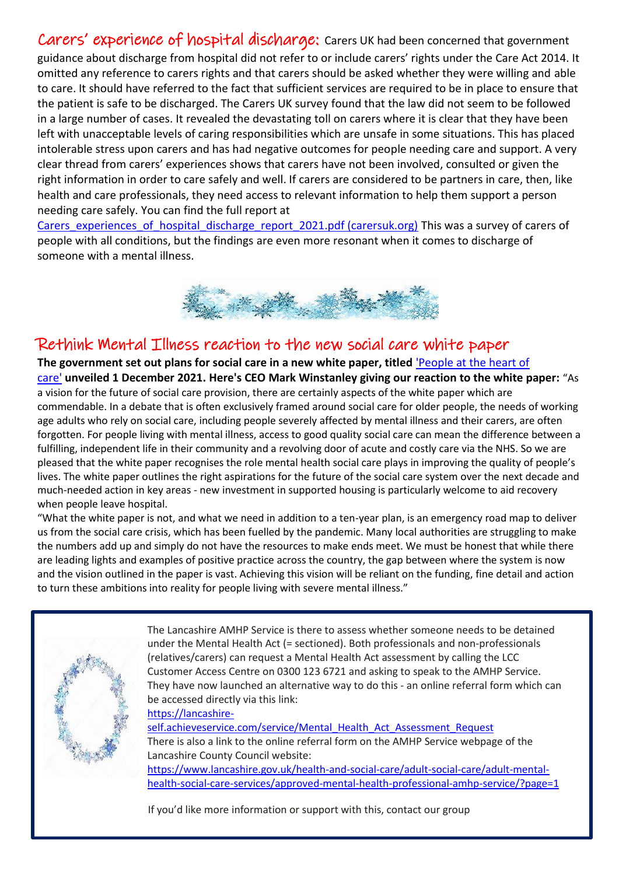Carers' experience of hospital discharge: Carers UK had been concerned that government guidance about discharge from hospital did not refer to or include carers' rights under the Care Act 2014. It omitted any reference to carers rights and that carers should be asked whether they were willing and able to care. It should have referred to the fact that sufficient services are required to be in place to ensure that the patient is safe to be discharged. The Carers UK survey found that the law did not seem to be followed in a large number of cases. It revealed the devastating toll on carers where it is clear that they have been left with unacceptable levels of caring responsibilities which are unsafe in some situations. This has placed intolerable stress upon carers and has had negative outcomes for people needing care and support. A very clear thread from carers' experiences shows that carers have not been involved, consulted or given the right information in order to care safely and well. If carers are considered to be partners in care, then, like health and care professionals, they need access to relevant information to help them support a person needing care safely. You can find the full report at

[Carers\\_experiences\\_of\\_hospital\\_discharge\\_report\\_2021.pdf \(carersuk.org\)](about:blank) This was a survey of carers of people with all conditions, but the findings are even more resonant when it comes to discharge of someone with a mental illness.



# Rethink Mental Illness reaction to the new social care white paper

**The government set out plans for social care in a new white paper, titled** ['People at the heart of](about:blank)  [care'](about:blank) **unveiled 1 December 2021. Here's CEO Mark Winstanley giving our reaction to the white paper:** "As a vision for the future of social care provision, there are certainly aspects of the white paper which are commendable. In a debate that is often exclusively framed around social care for older people, the needs of working age adults who rely on social care, including people severely affected by mental illness and their carers, are often forgotten. For people living with mental illness, access to good quality social care can mean the difference between a fulfilling, independent life in their community and a revolving door of acute and costly care via the NHS. So we are pleased that the white paper recognises the role mental health social care plays in improving the quality of people's lives. The white paper outlines the right aspirations for the future of the social care system over the next decade and much-needed action in key areas - new investment in supported housing is particularly welcome to aid recovery when people leave hospital.

"What the white paper is not, and what we need in addition to a ten-year plan, is an emergency road map to deliver us from the social care crisis, which has been fuelled by the pandemic. Many local authorities are struggling to make the numbers add up and simply do not have the resources to make ends meet. We must be honest that while there are leading lights and examples of positive practice across the country, the gap between where the system is now and the vision outlined in the paper is vast. Achieving this vision will be reliant on the funding, fine detail and action to turn these ambitions into reality for people living with severe mental illness."



The Lancashire AMHP Service is there to assess whether someone needs to be detained under the Mental Health Act (= sectioned). Both professionals and non-professionals (relatives/carers) can request a Mental Health Act assessment by calling the LCC Customer Access Centre on 0300 123 6721 and asking to speak to the AMHP Service. They have now launched an alternative way to do this - an online referral form which can be accessed directly via this link:

[https://lancashire-](about:blank)

[self.achieveservice.com/service/Mental\\_Health\\_Act\\_Assessment\\_Request](about:blank) There is also a link to the online referral form on the AMHP Service webpage of the Lancashire County Council website: [https://www.lancashire.gov.uk/health-and-social-care/adult-social-care/adult-mental](about:blank)[health-social-care-services/approved-mental-health-professional-amhp-service/?page=1](about:blank)

If you'd like more information or support with this, contact our group